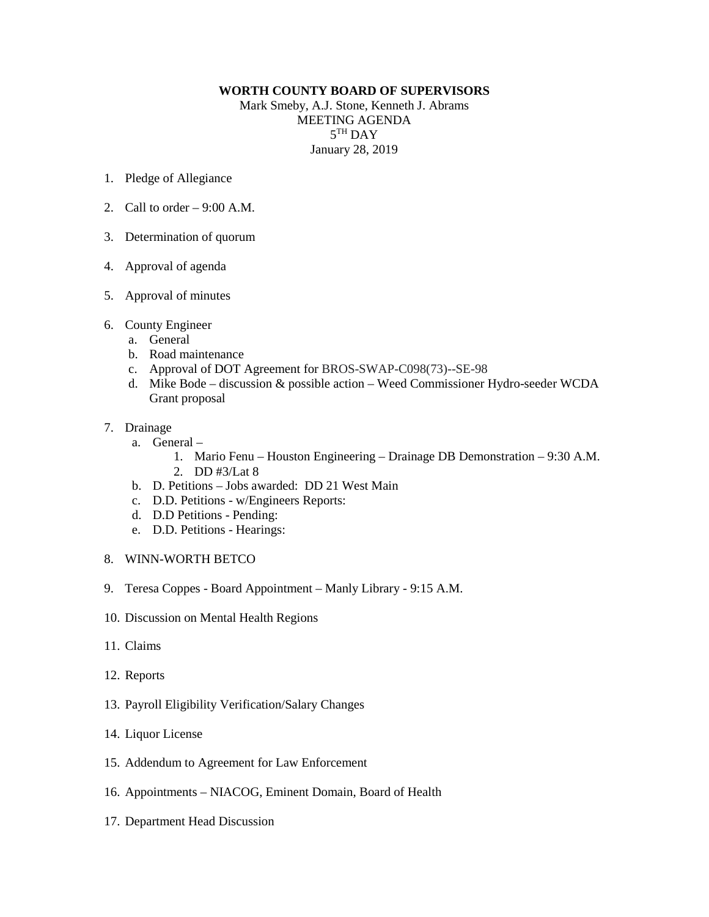## **WORTH COUNTY BOARD OF SUPERVISORS**

Mark Smeby, A.J. Stone, Kenneth J. Abrams MEETING AGENDA 5TH DAY January 28, 2019

- 1. Pledge of Allegiance
- 2. Call to order  $-9:00$  A.M.
- 3. Determination of quorum
- 4. Approval of agenda
- 5. Approval of minutes
- 6. County Engineer
	- a. General
	- b. Road maintenance
	- c. Approval of DOT Agreement for BROS-SWAP-C098(73)--SE-98
	- d. Mike Bode discussion & possible action Weed Commissioner Hydro-seeder WCDA Grant proposal
- 7. Drainage
	- a. General
		- 1. Mario Fenu Houston Engineering Drainage DB Demonstration 9:30 A.M.
		- 2. DD #3/Lat 8
	- b. D. Petitions Jobs awarded: DD 21 West Main
	- c. D.D. Petitions w/Engineers Reports:
	- d. D.D Petitions Pending:
	- e. D.D. Petitions Hearings:
- 8. WINN-WORTH BETCO
- 9. Teresa Coppes Board Appointment Manly Library 9:15 A.M.
- 10. Discussion on Mental Health Regions
- 11. Claims
- 12. Reports
- 13. Payroll Eligibility Verification/Salary Changes
- 14. Liquor License
- 15. Addendum to Agreement for Law Enforcement
- 16. Appointments NIACOG, Eminent Domain, Board of Health
- 17. Department Head Discussion